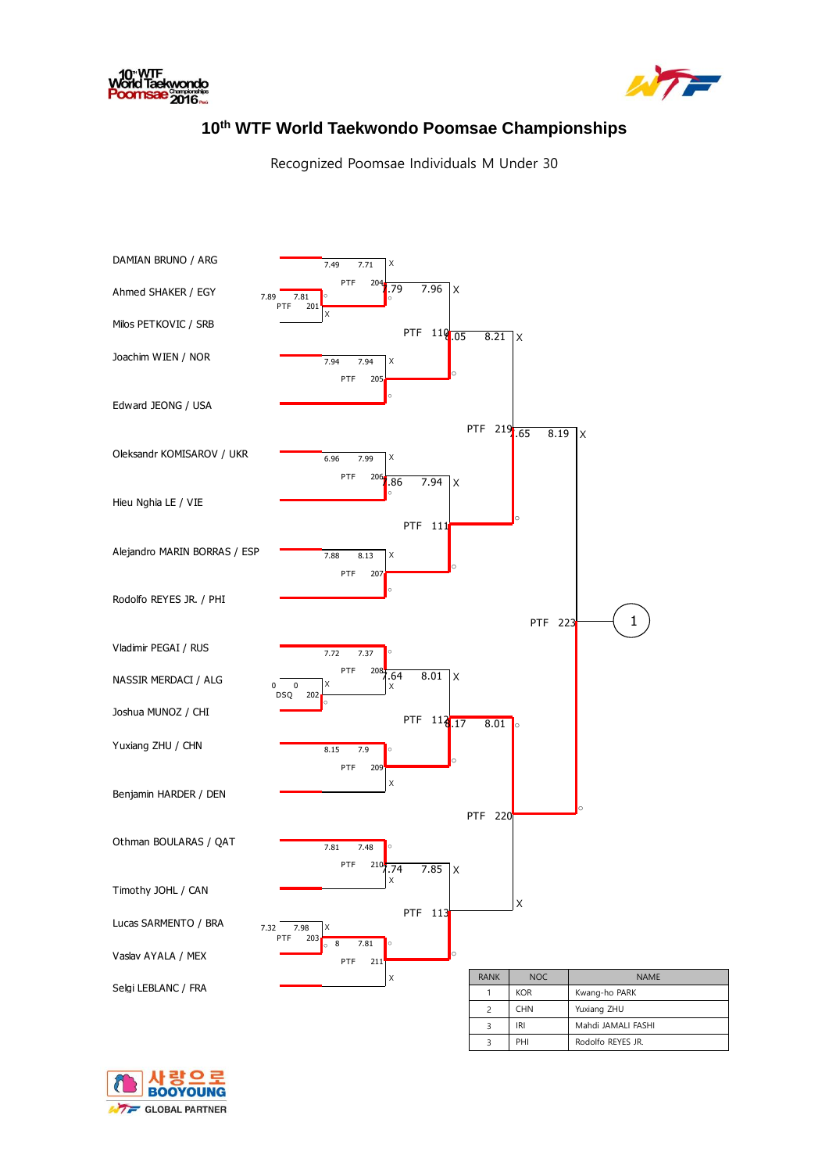



## **10th WTF World Taekwondo Poomsae Championships**

Recognized Poomsae Individuals M Under 30



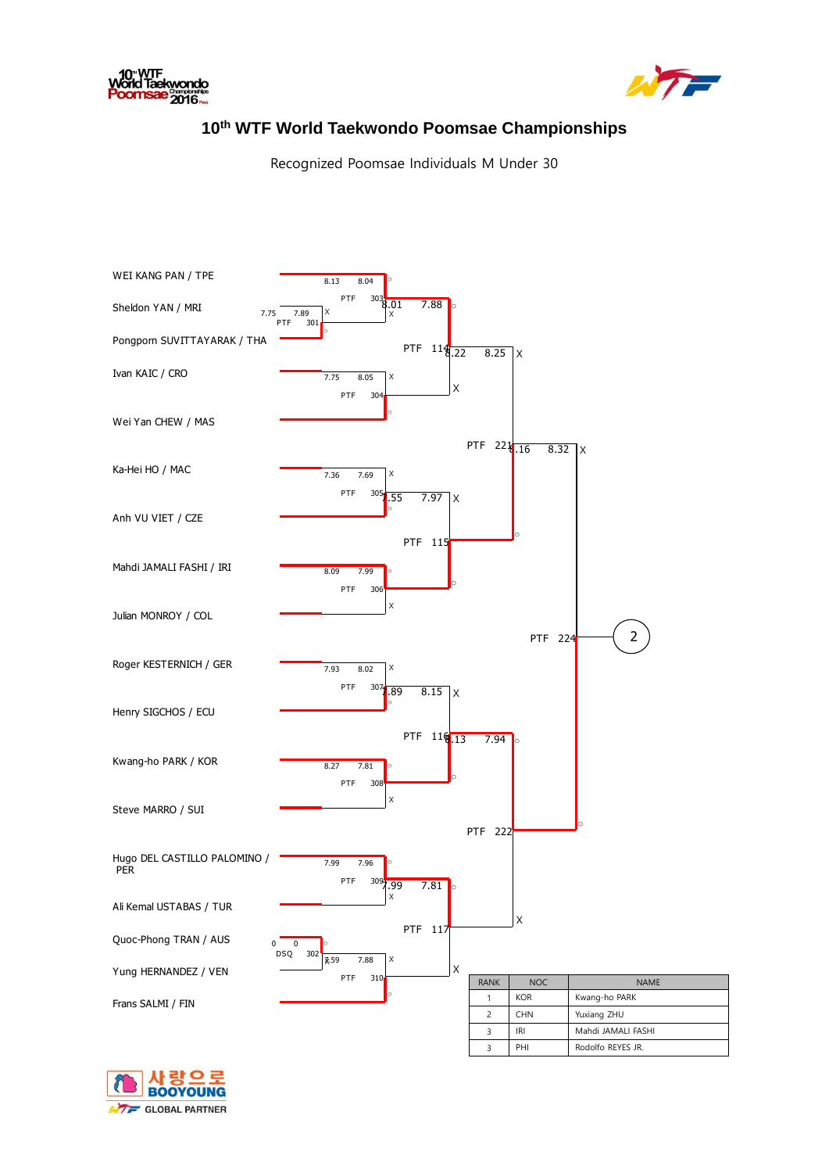



## **10th WTF World Taekwondo Poomsae Championships**

Recognized Poomsae Individuals M Under 30